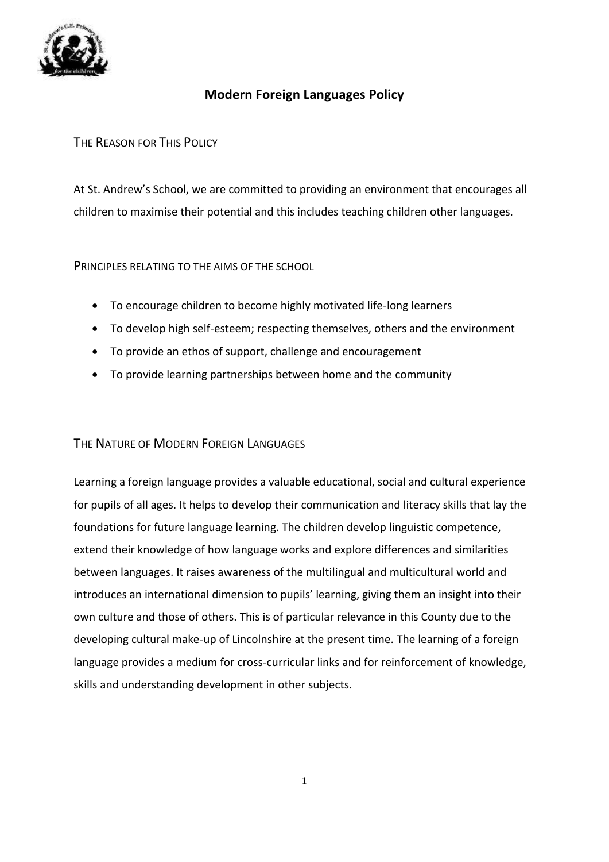

# **Modern Foreign Languages Policy**

## THE REASON FOR THIS POLICY

At St. Andrew's School, we are committed to providing an environment that encourages all children to maximise their potential and this includes teaching children other languages.

### PRINCIPLES RELATING TO THE AIMS OF THE SCHOOL

- To encourage children to become highly motivated life-long learners
- To develop high self-esteem; respecting themselves, others and the environment
- To provide an ethos of support, challenge and encouragement
- To provide learning partnerships between home and the community

### THE NATURE OF MODERN FOREIGN LANGUAGES

Learning a foreign language provides a valuable educational, social and cultural experience for pupils of all ages. It helps to develop their communication and literacy skills that lay the foundations for future language learning. The children develop linguistic competence, extend their knowledge of how language works and explore differences and similarities between languages. It raises awareness of the multilingual and multicultural world and introduces an international dimension to pupils' learning, giving them an insight into their own culture and those of others. This is of particular relevance in this County due to the developing cultural make-up of Lincolnshire at the present time. The learning of a foreign language provides a medium for cross-curricular links and for reinforcement of knowledge, skills and understanding development in other subjects.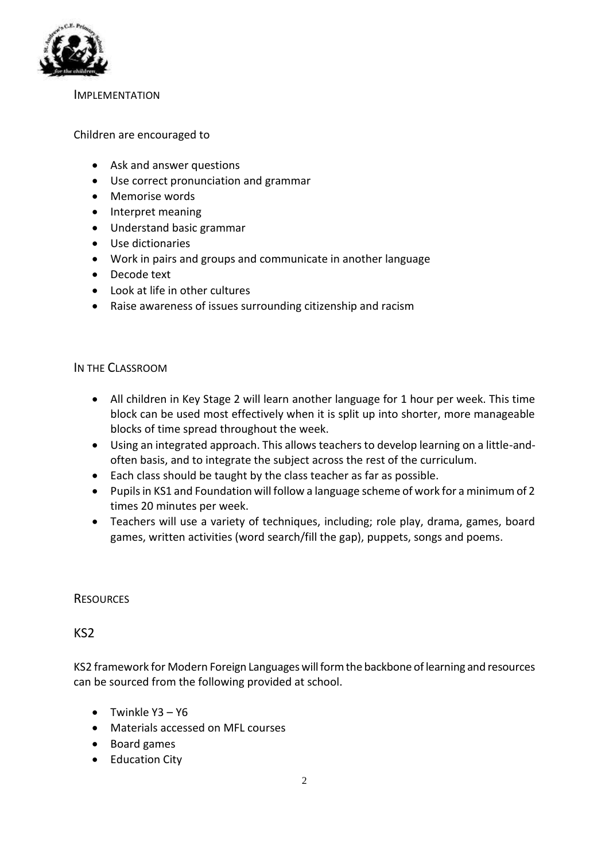

#### **IMPLEMENTATION**

#### Children are encouraged to

- Ask and answer questions
- Use correct pronunciation and grammar
- Memorise words
- Interpret meaning
- Understand basic grammar
- Use dictionaries
- Work in pairs and groups and communicate in another language
- Decode text
- Look at life in other cultures
- Raise awareness of issues surrounding citizenship and racism

#### IN THE CLASSROOM

- All children in Key Stage 2 will learn another language for 1 hour per week. This time block can be used most effectively when it is split up into shorter, more manageable blocks of time spread throughout the week.
- Using an integrated approach. This allows teachers to develop learning on a little-andoften basis, and to integrate the subject across the rest of the curriculum.
- Each class should be taught by the class teacher as far as possible.
- Pupils in KS1 and Foundation will follow a language scheme of work for a minimum of 2 times 20 minutes per week.
- Teachers will use a variety of techniques, including; role play, drama, games, board games, written activities (word search/fill the gap), puppets, songs and poems.

#### **RESOURCES**

### KS2

KS2 framework for Modern Foreign Languages will form the backbone of learning and resources can be sourced from the following provided at school.

- Twinkle Y3 Y6
- Materials accessed on MFL courses
- Board games
- Education City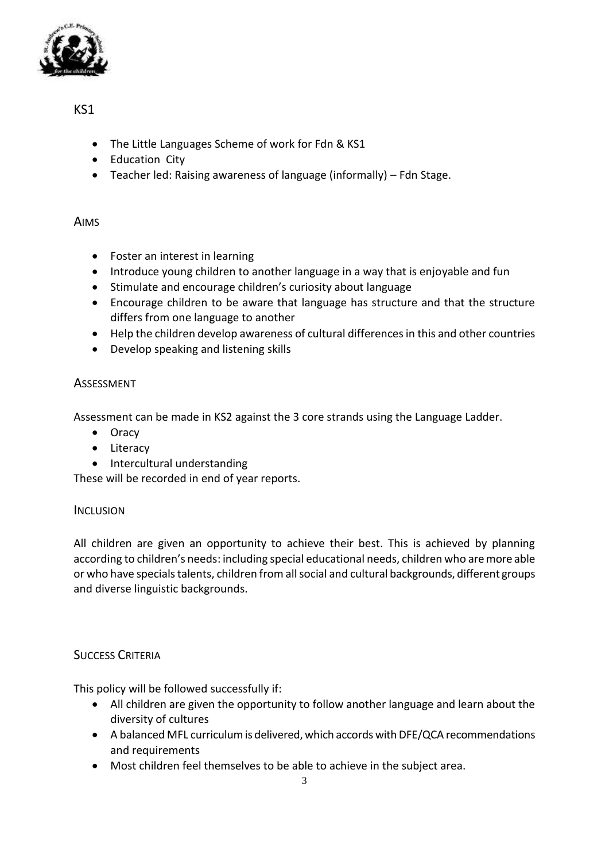

# KS1

- The Little Languages Scheme of work for Fdn & KS1
- Education City
- Teacher led: Raising awareness of language (informally) Fdn Stage.

## AIMS

- Foster an interest in learning
- Introduce young children to another language in a way that is enjoyable and fun
- Stimulate and encourage children's curiosity about language
- Encourage children to be aware that language has structure and that the structure differs from one language to another
- Help the children develop awareness of cultural differences in this and other countries
- Develop speaking and listening skills

## ASSESSMENT

Assessment can be made in KS2 against the 3 core strands using the Language Ladder.

- Oracy
- Literacy
- Intercultural understanding

These will be recorded in end of year reports.

### **INCLUSION**

All children are given an opportunity to achieve their best. This is achieved by planning according to children's needs: including special educational needs, children who are more able or who have specials talents, children from all social and cultural backgrounds, different groups and diverse linguistic backgrounds.

# SUCCESS CRITERIA

This policy will be followed successfully if:

- All children are given the opportunity to follow another language and learn about the diversity of cultures
- A balanced MFL curriculum is delivered, which accords with DFE/QCA recommendations and requirements
- Most children feel themselves to be able to achieve in the subject area.